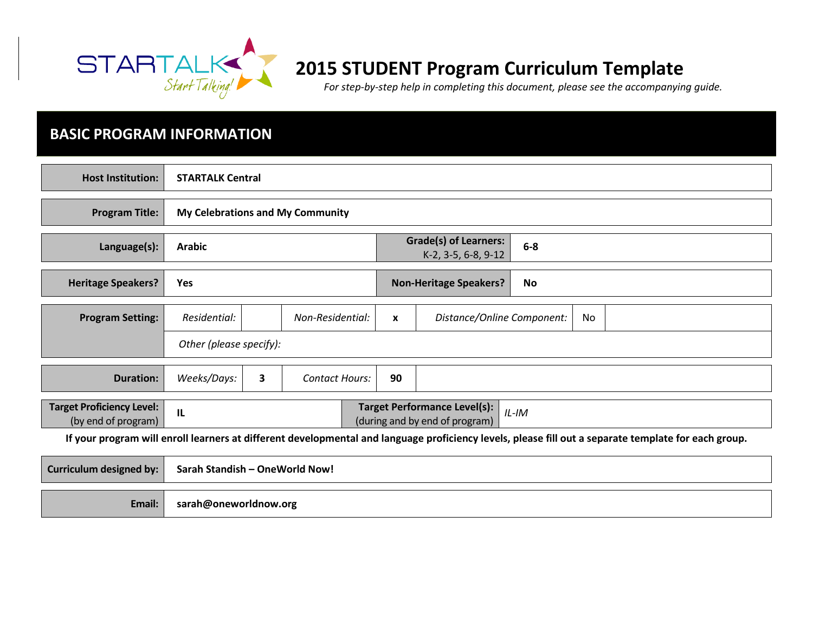

# 2015 STUDENT Program Curriculum Template

For step-by-step help in completing this document, please see the accompanying guide.

## BASIC PROGRAM INFORMATION

| <b>Host Institution:</b>                                                                                                                             | <b>STARTALK Central</b>                                                                 |                                  |                                                              |              |                               |    |    |  |
|------------------------------------------------------------------------------------------------------------------------------------------------------|-----------------------------------------------------------------------------------------|----------------------------------|--------------------------------------------------------------|--------------|-------------------------------|----|----|--|
| <b>Program Title:</b>                                                                                                                                |                                                                                         | My Celebrations and My Community |                                                              |              |                               |    |    |  |
| Language(s):                                                                                                                                         | <b>Arabic</b>                                                                           |                                  | <b>Grade(s) of Learners:</b><br>$6-8$<br>K-2, 3-5, 6-8, 9-12 |              |                               |    |    |  |
| <b>Heritage Speakers?</b>                                                                                                                            | <b>Yes</b>                                                                              |                                  |                                                              |              | <b>Non-Heritage Speakers?</b> | No |    |  |
| <b>Program Setting:</b>                                                                                                                              | Residential:                                                                            |                                  | Non-Residential:                                             | $\mathbf{x}$ | Distance/Online Component:    |    | No |  |
|                                                                                                                                                      |                                                                                         | Other (please specify):          |                                                              |              |                               |    |    |  |
| <b>Duration:</b>                                                                                                                                     | Weeks/Days:                                                                             | $\mathbf{3}$                     | <b>Contact Hours:</b>                                        | 90           |                               |    |    |  |
| <b>Target Proficiency Level:</b><br>(by end of program)                                                                                              | <b>Target Performance Level(s):</b><br>IL<br>$IL$ -IM<br>(during and by end of program) |                                  |                                                              |              |                               |    |    |  |
| If your program will enroll learners at different developmental and language proficiency levels, please fill out a separate template for each group. |                                                                                         |                                  |                                                              |              |                               |    |    |  |
| <b>Curriculum designed by:</b>                                                                                                                       | Sarah Standish - OneWorld Now!                                                          |                                  |                                                              |              |                               |    |    |  |
|                                                                                                                                                      |                                                                                         |                                  |                                                              |              |                               |    |    |  |

Email:sarah@oneworldnow.org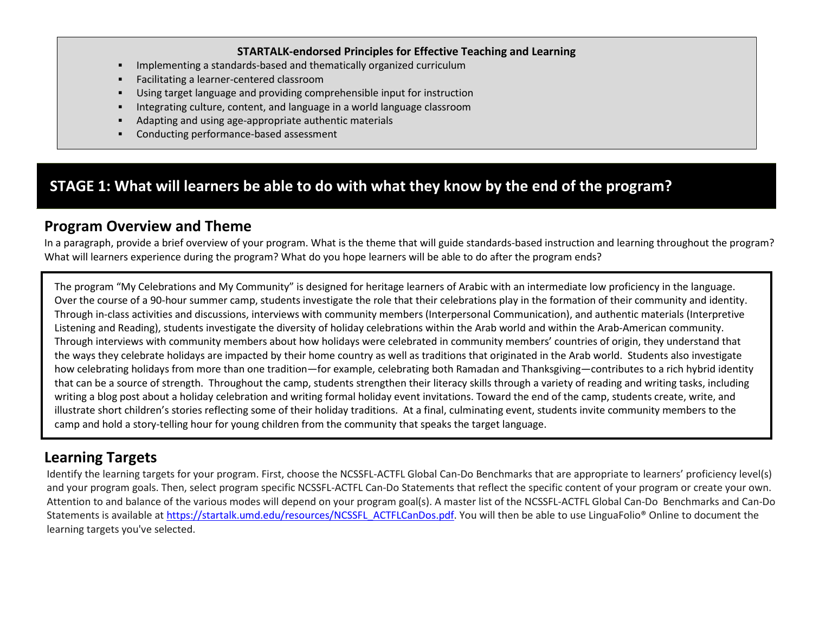#### STARTALK-endorsed Principles for Effective Teaching and Learning

- П Implementing a standards-based and thematically organized curriculum
- п Facilitating a learner-centered classroom
- п Using target language and providing comprehensible input for instruction
- П Integrating culture, content, and language in a world language classroom
- П Adapting and using age-appropriate authentic materials
- П Conducting performance-based assessment

## STAGE 1: What will learners be able to do with what they know by the end of the program?

## Program Overview and Theme

 In a paragraph, provide a brief overview of your program. What is the theme that will guide standards-based instruction and learning throughout the program? What will learners experience during the program? What do you hope learners will be able to do after the program ends?

The program "My Celebrations and My Community" is designed for heritage learners of Arabic with an intermediate low proficiency in the language. Over the course of a 90-hour summer camp, students investigate the role that their celebrations play in the formation of their community and identity. Through in-class activities and discussions, interviews with community members (Interpersonal Communication), and authentic materials (Interpretive Listening and Reading), students investigate the diversity of holiday celebrations within the Arab world and within the Arab-American community. Through interviews with community members about how holidays were celebrated in community members' countries of origin, they understand that the ways they celebrate holidays are impacted by their home country as well as traditions that originated in the Arab world. Students also investigate how celebrating holidays from more than one tradition—for example, celebrating both Ramadan and Thanksgiving—contributes to a rich hybrid identity that can be a source of strength. Throughout the camp, students strengthen their literacy skills through a variety of reading and writing tasks, including writing a blog post about a holiday celebration and writing formal holiday event invitations. Toward the end of the camp, students create, write, and illustrate short children's stories reflecting some of their holiday traditions. At a final, culminating event, students invite community members to the camp and hold a story-telling hour for young children from the community that speaks the target language.

# Learning Targets

Identify the learning targets for your program. First, choose the NCSSFL-ACTFL Global Can-Do Benchmarks that are appropriate to learners' proficiency level(s) and your program goals. Then, select program specific NCSSFL-ACTFL Can-Do Statements that reflect the specific content of your program or create your own.Attention to and balance of the various modes will depend on your program goal(s). A master list of the NCSSFL-ACTFL Global Can-Do Benchmarks and Can-DoStatements is available at https://startalk.umd.edu/resources/NCSSFL\_ACTFLCanDos.pdf. You will then be able to use LinguaFolio® Online to document the learning targets you've selected.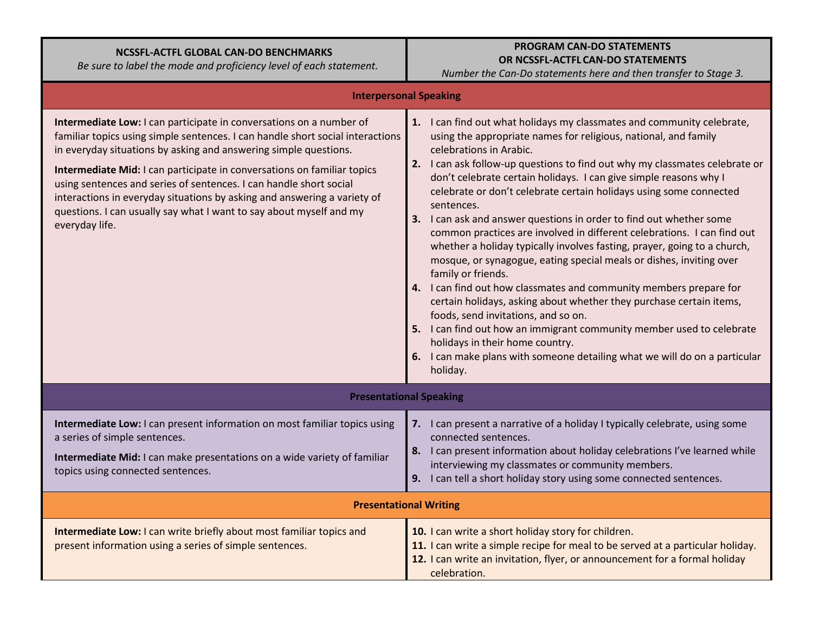### NCSSFL-ACTFL GLOBAL CAN-DO BENCHMARKS

Be sure to label the mode and proficiency level of each statement.

### PROGRAM CAN-DO STATEMENTSOR NCSSFL-ACTFL CAN-DO STATEMENTS

Number the Can-Do statements here and then transfer to Stage 3.

| <b>Interpersonal Speaking</b>                                                                                                                                                                                                                                                                                                                                                                                                                                                                                                                   |                                                                                                                                                                                                                                                                                                                                                                                                                                                                                                                                                                                                                                                                                                                                                                                                                                                                                                                                                                                                                                                                                                                                   |  |  |  |
|-------------------------------------------------------------------------------------------------------------------------------------------------------------------------------------------------------------------------------------------------------------------------------------------------------------------------------------------------------------------------------------------------------------------------------------------------------------------------------------------------------------------------------------------------|-----------------------------------------------------------------------------------------------------------------------------------------------------------------------------------------------------------------------------------------------------------------------------------------------------------------------------------------------------------------------------------------------------------------------------------------------------------------------------------------------------------------------------------------------------------------------------------------------------------------------------------------------------------------------------------------------------------------------------------------------------------------------------------------------------------------------------------------------------------------------------------------------------------------------------------------------------------------------------------------------------------------------------------------------------------------------------------------------------------------------------------|--|--|--|
| Intermediate Low: I can participate in conversations on a number of<br>familiar topics using simple sentences. I can handle short social interactions<br>in everyday situations by asking and answering simple questions.<br>Intermediate Mid: I can participate in conversations on familiar topics<br>using sentences and series of sentences. I can handle short social<br>interactions in everyday situations by asking and answering a variety of<br>questions. I can usually say what I want to say about myself and my<br>everyday life. | 1. I can find out what holidays my classmates and community celebrate,<br>using the appropriate names for religious, national, and family<br>celebrations in Arabic.<br>2. I can ask follow-up questions to find out why my classmates celebrate or<br>don't celebrate certain holidays. I can give simple reasons why I<br>celebrate or don't celebrate certain holidays using some connected<br>sentences.<br>3. I can ask and answer questions in order to find out whether some<br>common practices are involved in different celebrations. I can find out<br>whether a holiday typically involves fasting, prayer, going to a church,<br>mosque, or synagogue, eating special meals or dishes, inviting over<br>family or friends.<br>4. I can find out how classmates and community members prepare for<br>certain holidays, asking about whether they purchase certain items,<br>foods, send invitations, and so on.<br>5. I can find out how an immigrant community member used to celebrate<br>holidays in their home country.<br>6. I can make plans with someone detailing what we will do on a particular<br>holiday. |  |  |  |
|                                                                                                                                                                                                                                                                                                                                                                                                                                                                                                                                                 | <b>Presentational Speaking</b>                                                                                                                                                                                                                                                                                                                                                                                                                                                                                                                                                                                                                                                                                                                                                                                                                                                                                                                                                                                                                                                                                                    |  |  |  |
| Intermediate Low: I can present information on most familiar topics using<br>a series of simple sentences.<br>Intermediate Mid: I can make presentations on a wide variety of familiar<br>topics using connected sentences.                                                                                                                                                                                                                                                                                                                     | 7. I can present a narrative of a holiday I typically celebrate, using some<br>connected sentences.<br>8. I can present information about holiday celebrations I've learned while<br>interviewing my classmates or community members.<br>9. I can tell a short holiday story using some connected sentences.                                                                                                                                                                                                                                                                                                                                                                                                                                                                                                                                                                                                                                                                                                                                                                                                                      |  |  |  |
| <b>Presentational Writing</b>                                                                                                                                                                                                                                                                                                                                                                                                                                                                                                                   |                                                                                                                                                                                                                                                                                                                                                                                                                                                                                                                                                                                                                                                                                                                                                                                                                                                                                                                                                                                                                                                                                                                                   |  |  |  |
| Intermediate Low: I can write briefly about most familiar topics and<br>present information using a series of simple sentences.                                                                                                                                                                                                                                                                                                                                                                                                                 | 10. I can write a short holiday story for children.<br>11. I can write a simple recipe for meal to be served at a particular holiday.<br>12. I can write an invitation, flyer, or announcement for a formal holiday<br>celebration.                                                                                                                                                                                                                                                                                                                                                                                                                                                                                                                                                                                                                                                                                                                                                                                                                                                                                               |  |  |  |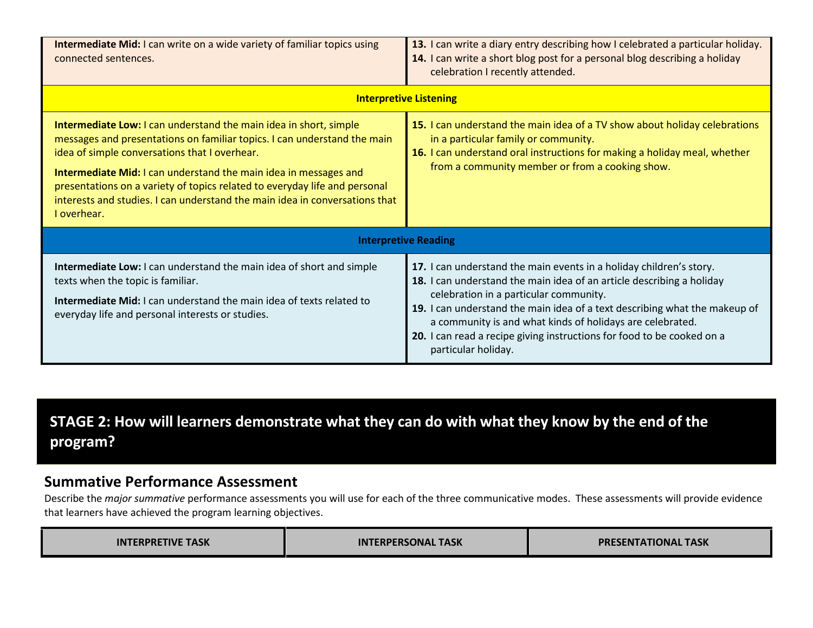| <b>Intermediate Mid:</b> I can write on a wide variety of familiar topics using<br>connected sentences.                                                                                                                                                                                                                                                                                                                                                      | 13. I can write a diary entry describing how I celebrated a particular holiday.<br>14. I can write a short blog post for a personal blog describing a holiday<br>celebration I recently attended.                                                                                                                                                                                                                                  |  |  |  |
|--------------------------------------------------------------------------------------------------------------------------------------------------------------------------------------------------------------------------------------------------------------------------------------------------------------------------------------------------------------------------------------------------------------------------------------------------------------|------------------------------------------------------------------------------------------------------------------------------------------------------------------------------------------------------------------------------------------------------------------------------------------------------------------------------------------------------------------------------------------------------------------------------------|--|--|--|
|                                                                                                                                                                                                                                                                                                                                                                                                                                                              | <b>Interpretive Listening</b>                                                                                                                                                                                                                                                                                                                                                                                                      |  |  |  |
| <b>Intermediate Low:</b> I can understand the main idea in short, simple<br>messages and presentations on familiar topics. I can understand the main<br>idea of simple conversations that I overhear.<br><b>Intermediate Mid:</b> I can understand the main idea in messages and<br>presentations on a variety of topics related to everyday life and personal<br>interests and studies. I can understand the main idea in conversations that<br>I overhear. | 15. I can understand the main idea of a TV show about holiday celebrations<br>in a particular family or community.<br>16. I can understand oral instructions for making a holiday meal, whether<br>from a community member or from a cooking show.                                                                                                                                                                                 |  |  |  |
| <b>Interpretive Reading</b>                                                                                                                                                                                                                                                                                                                                                                                                                                  |                                                                                                                                                                                                                                                                                                                                                                                                                                    |  |  |  |
| Intermediate Low: I can understand the main idea of short and simple<br>texts when the topic is familiar.<br>Intermediate Mid: I can understand the main idea of texts related to<br>everyday life and personal interests or studies.                                                                                                                                                                                                                        | 17. I can understand the main events in a holiday children's story.<br>18. I can understand the main idea of an article describing a holiday<br>celebration in a particular community.<br>19. I can understand the main idea of a text describing what the makeup of<br>a community is and what kinds of holidays are celebrated.<br>20. I can read a recipe giving instructions for food to be cooked on a<br>particular holiday. |  |  |  |

# STAGE 2: How will learners demonstrate what they can do with what they know by the end of the program?

### Summative Performance Assessment

Describe the major summative performance assessments you will use for each of the three communicative modes. These assessments will provide evidence that learners have achieved the program learning objectives.

| <b>INTERPRETIVE TASK</b> | <b>INTERPERSONAL TASK</b> | <b>PRESENTATIONAL TASK</b> |
|--------------------------|---------------------------|----------------------------|
|--------------------------|---------------------------|----------------------------|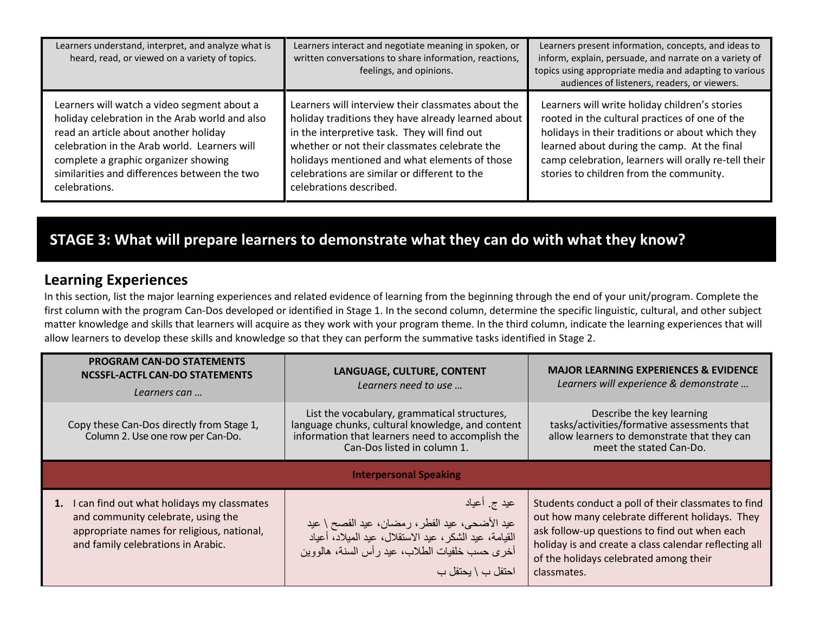| Learners understand, interpret, and analyze what is<br>heard, read, or viewed on a variety of topics.                                                                                                                                                                                           | Learners interact and negotiate meaning in spoken, or<br>written conversations to share information, reactions,<br>feelings, and opinions.                                                                                                                                                                                            | Learners present information, concepts, and ideas to<br>inform, explain, persuade, and narrate on a variety of<br>topics using appropriate media and adapting to various<br>audiences of listeners, readers, or viewers.                                                                               |
|-------------------------------------------------------------------------------------------------------------------------------------------------------------------------------------------------------------------------------------------------------------------------------------------------|---------------------------------------------------------------------------------------------------------------------------------------------------------------------------------------------------------------------------------------------------------------------------------------------------------------------------------------|--------------------------------------------------------------------------------------------------------------------------------------------------------------------------------------------------------------------------------------------------------------------------------------------------------|
| Learners will watch a video segment about a<br>holiday celebration in the Arab world and also<br>read an article about another holiday<br>celebration in the Arab world. Learners will<br>complete a graphic organizer showing<br>similarities and differences between the two<br>celebrations. | Learners will interview their classmates about the<br>holiday traditions they have already learned about<br>in the interpretive task. They will find out<br>whether or not their classmates celebrate the<br>holidays mentioned and what elements of those<br>celebrations are similar or different to the<br>celebrations described. | Learners will write holiday children's stories<br>rooted in the cultural practices of one of the<br>holidays in their traditions or about which they<br>learned about during the camp. At the final<br>camp celebration, learners will orally re-tell their<br>stories to children from the community. |

# STAGE 3: What will prepare learners to demonstrate what they can do with what they know?

### Learning Experiences

In this section, list the major learning experiences and related evidence of learning from the beginning through the end of your unit/program. Complete the first column with the program Can-Dos developed or identified in Stage 1. In the second column, determine the specific linguistic, cultural, and other subject matter knowledge and skills that learners will acquire as they work with your program theme. In the third column, indicate the learning experiences that will allow learners to develop these skills and knowledge so that they can perform the summative tasks identified in Stage 2.

| <b>PROGRAM CAN-DO STATEMENTS</b><br>NCSSFL-ACTFL CAN-DO STATEMENTS<br>Learners can                                                                                      | LANGUAGE, CULTURE, CONTENT<br>Learners need to use                                                                                                                                              | <b>MAJOR LEARNING EXPERIENCES &amp; EVIDENCE</b><br>Learners will experience & demonstrate                                                                                                                                                                                |  |  |  |
|-------------------------------------------------------------------------------------------------------------------------------------------------------------------------|-------------------------------------------------------------------------------------------------------------------------------------------------------------------------------------------------|---------------------------------------------------------------------------------------------------------------------------------------------------------------------------------------------------------------------------------------------------------------------------|--|--|--|
| Copy these Can-Dos directly from Stage 1,<br>Column 2. Use one row per Can-Do.                                                                                          | List the vocabulary, grammatical structures,<br>language chunks, cultural knowledge, and content<br>information that learners need to accomplish the<br>Can-Dos listed in column 1.             | Describe the key learning<br>tasks/activities/formative assessments that<br>allow learners to demonstrate that they can<br>meet the stated Can-Do.                                                                                                                        |  |  |  |
| <b>Interpersonal Speaking</b>                                                                                                                                           |                                                                                                                                                                                                 |                                                                                                                                                                                                                                                                           |  |  |  |
| 1. I can find out what holidays my classmates<br>and community celebrate, using the<br>appropriate names for religious, national,<br>and family celebrations in Arabic. | عيد ج_أعياد<br>عيد الأضحى، عيد الفطر، رمضـان، عيد الفصـح \ عيد<br>القيامة، عيد الشكر ، عيد الاستقلال، عيد الميلاد، أعياد<br>أخرى حسب خلفيات الطلاب، عيد رأس السنة، هالووين<br>احتفل ب \ يحتفل ب | Students conduct a poll of their classmates to find<br>out how many celebrate different holidays. They<br>ask follow-up questions to find out when each<br>holiday is and create a class calendar reflecting all<br>of the holidays celebrated among their<br>classmates. |  |  |  |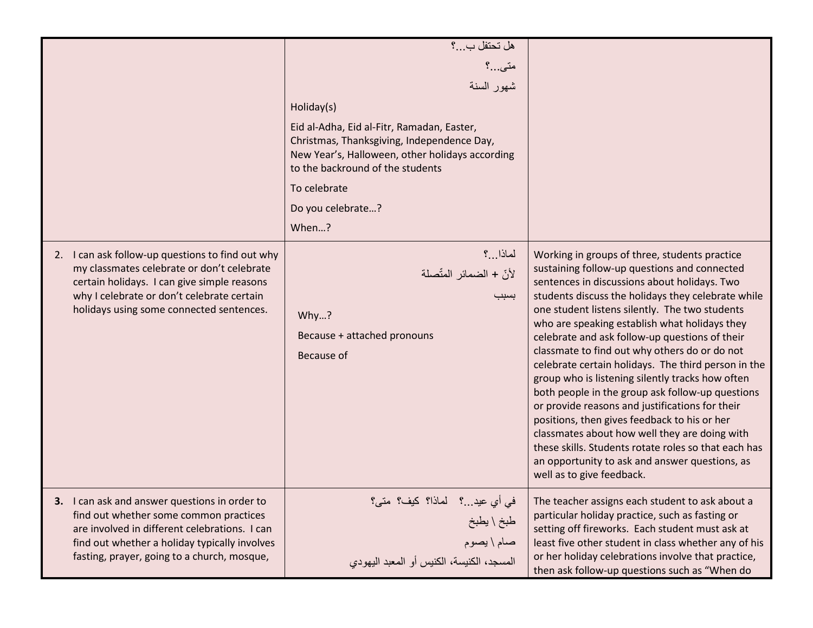|                                                                                                                                                                                                                                         | هل تحتفل ب؟<br>متى…؟<br>شهور السنة<br>Holiday(s)<br>Eid al-Adha, Eid al-Fitr, Ramadan, Easter,<br>Christmas, Thanksgiving, Independence Day,<br>New Year's, Halloween, other holidays according<br>to the backround of the students<br>To celebrate<br>Do you celebrate?<br>When? |                                                                                                                                                                                                                                                                                                                                                                                                                                                                                                                                                                                                                                                                                                                                                                                                                                                                     |
|-----------------------------------------------------------------------------------------------------------------------------------------------------------------------------------------------------------------------------------------|-----------------------------------------------------------------------------------------------------------------------------------------------------------------------------------------------------------------------------------------------------------------------------------|---------------------------------------------------------------------------------------------------------------------------------------------------------------------------------------------------------------------------------------------------------------------------------------------------------------------------------------------------------------------------------------------------------------------------------------------------------------------------------------------------------------------------------------------------------------------------------------------------------------------------------------------------------------------------------------------------------------------------------------------------------------------------------------------------------------------------------------------------------------------|
| 2. I can ask follow-up questions to find out why<br>my classmates celebrate or don't celebrate<br>certain holidays. I can give simple reasons<br>why I celebrate or don't celebrate certain<br>holidays using some connected sentences. | لماذا ؟<br>لأنّ + الضمائر المتّصلة<br>بسبب<br>Why?<br>Because + attached pronouns<br>Because of                                                                                                                                                                                   | Working in groups of three, students practice<br>sustaining follow-up questions and connected<br>sentences in discussions about holidays. Two<br>students discuss the holidays they celebrate while<br>one student listens silently. The two students<br>who are speaking establish what holidays they<br>celebrate and ask follow-up questions of their<br>classmate to find out why others do or do not<br>celebrate certain holidays. The third person in the<br>group who is listening silently tracks how often<br>both people in the group ask follow-up questions<br>or provide reasons and justifications for their<br>positions, then gives feedback to his or her<br>classmates about how well they are doing with<br>these skills. Students rotate roles so that each has<br>an opportunity to ask and answer questions, as<br>well as to give feedback. |
| I can ask and answer questions in order to<br>find out whether some common practices<br>are involved in different celebrations. I can<br>find out whether a holiday typically involves<br>fasting, prayer, going to a church, mosque,   | في أي عيد؟    لماذا؟  كيف؟  متى؟<br>طبخ \ يطبخ<br>صام \ يصوم<br>المسجد، الكنيسة، الكنيس أو المعبد اليهودي                                                                                                                                                                         | The teacher assigns each student to ask about a<br>particular holiday practice, such as fasting or<br>setting off fireworks. Each student must ask at<br>least five other student in class whether any of his<br>or her holiday celebrations involve that practice,<br>then ask follow-up questions such as "When do                                                                                                                                                                                                                                                                                                                                                                                                                                                                                                                                                |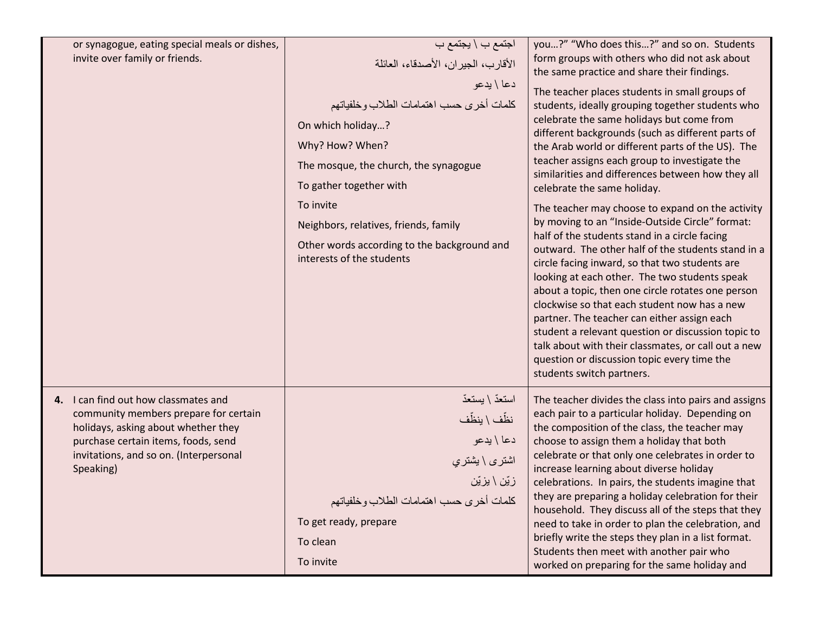| or synagogue, eating special meals or dishes,<br>invite over family or friends.                                                                                                                                    | اجتمع ب \ يجتمع ب<br>الأقارب، الجيران، الأصدقاء، العائلة<br>دعا \ يدعو<br>كلمات أخرى حسب اهتمامات الطلاب وخلفياتهم<br>On which holiday?<br>Why? How? When?<br>The mosque, the church, the synagogue<br>To gather together with<br>To invite<br>Neighbors, relatives, friends, family<br>Other words according to the background and<br>interests of the students | you?" "Who does this?" and so on. Students<br>form groups with others who did not ask about<br>the same practice and share their findings.<br>The teacher places students in small groups of<br>students, ideally grouping together students who<br>celebrate the same holidays but come from<br>different backgrounds (such as different parts of<br>the Arab world or different parts of the US). The<br>teacher assigns each group to investigate the<br>similarities and differences between how they all<br>celebrate the same holiday.<br>The teacher may choose to expand on the activity<br>by moving to an "Inside-Outside Circle" format:<br>half of the students stand in a circle facing<br>outward. The other half of the students stand in a<br>circle facing inward, so that two students are<br>looking at each other. The two students speak<br>about a topic, then one circle rotates one person<br>clockwise so that each student now has a new<br>partner. The teacher can either assign each<br>student a relevant question or discussion topic to<br>talk about with their classmates, or call out a new<br>question or discussion topic every time the<br>students switch partners. |
|--------------------------------------------------------------------------------------------------------------------------------------------------------------------------------------------------------------------|------------------------------------------------------------------------------------------------------------------------------------------------------------------------------------------------------------------------------------------------------------------------------------------------------------------------------------------------------------------|------------------------------------------------------------------------------------------------------------------------------------------------------------------------------------------------------------------------------------------------------------------------------------------------------------------------------------------------------------------------------------------------------------------------------------------------------------------------------------------------------------------------------------------------------------------------------------------------------------------------------------------------------------------------------------------------------------------------------------------------------------------------------------------------------------------------------------------------------------------------------------------------------------------------------------------------------------------------------------------------------------------------------------------------------------------------------------------------------------------------------------------------------------------------------------------------------------|
| 4. I can find out how classmates and<br>community members prepare for certain<br>holidays, asking about whether they<br>purchase certain items, foods, send<br>invitations, and so on. (Interpersonal<br>Speaking) | استعدّ \ يستعدّ<br>نظّف \ ينظّف<br>دعا \ يدعو<br>اشتری \ بشتري<br>زبّن \ يزيّن<br>كلمات أخرى حسب اهتمامات الطلاب وخلفياتهم<br>To get ready, prepare<br>To clean<br>To invite                                                                                                                                                                                     | The teacher divides the class into pairs and assigns<br>each pair to a particular holiday. Depending on<br>the composition of the class, the teacher may<br>choose to assign them a holiday that both<br>celebrate or that only one celebrates in order to<br>increase learning about diverse holiday<br>celebrations. In pairs, the students imagine that<br>they are preparing a holiday celebration for their<br>household. They discuss all of the steps that they<br>need to take in order to plan the celebration, and<br>briefly write the steps they plan in a list format.<br>Students then meet with another pair who<br>worked on preparing for the same holiday and                                                                                                                                                                                                                                                                                                                                                                                                                                                                                                                            |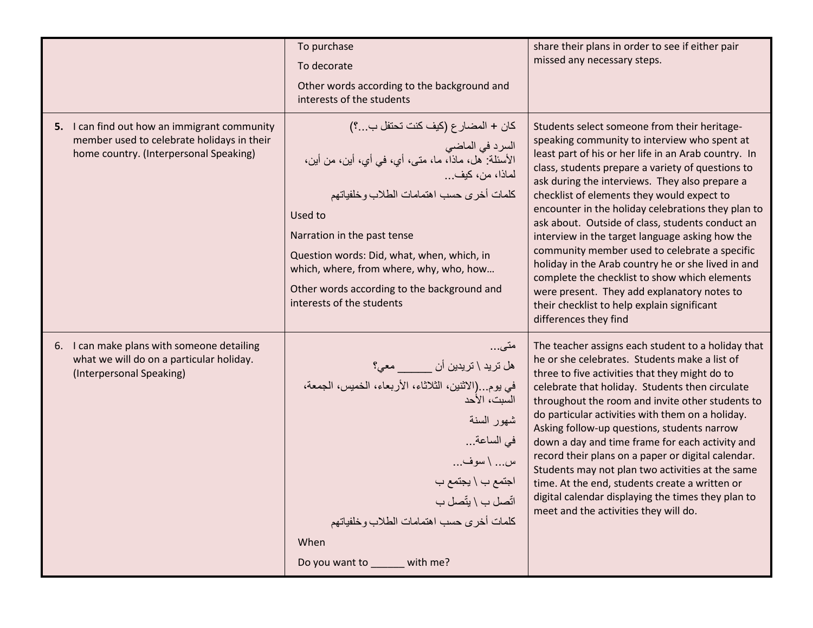|                                                                                                                                      | To purchase<br>To decorate<br>Other words according to the background and<br>interests of the students                                                                                                                                                                                                                                                                                  | share their plans in order to see if either pair<br>missed any necessary steps.                                                                                                                                                                                                                                                                                                                                                                                                                                                                                                                                                                                                                                                                       |
|--------------------------------------------------------------------------------------------------------------------------------------|-----------------------------------------------------------------------------------------------------------------------------------------------------------------------------------------------------------------------------------------------------------------------------------------------------------------------------------------------------------------------------------------|-------------------------------------------------------------------------------------------------------------------------------------------------------------------------------------------------------------------------------------------------------------------------------------------------------------------------------------------------------------------------------------------------------------------------------------------------------------------------------------------------------------------------------------------------------------------------------------------------------------------------------------------------------------------------------------------------------------------------------------------------------|
| 5. I can find out how an immigrant community<br>member used to celebrate holidays in their<br>home country. (Interpersonal Speaking) | كان + المضارع (كيف كنت تحتفل ب؟)<br>السرد في الماضي<br>الأسئلة: هل، ماذا، ما، متى، أي، في أي، أين، من أين،<br>لماذا، من، كيف<br>كلمات أخرى حسب اهتمامات الطلاب وخلفياتهم<br>Used to<br>Narration in the past tense<br>Question words: Did, what, when, which, in<br>which, where, from where, why, who, how<br>Other words according to the background and<br>interests of the students | Students select someone from their heritage-<br>speaking community to interview who spent at<br>least part of his or her life in an Arab country. In<br>class, students prepare a variety of questions to<br>ask during the interviews. They also prepare a<br>checklist of elements they would expect to<br>encounter in the holiday celebrations they plan to<br>ask about. Outside of class, students conduct an<br>interview in the target language asking how the<br>community member used to celebrate a specific<br>holiday in the Arab country he or she lived in and<br>complete the checklist to show which elements<br>were present. They add explanatory notes to<br>their checklist to help explain significant<br>differences they find |
| I can make plans with someone detailing<br>6.<br>what we will do on a particular holiday.<br>(Interpersonal Speaking)                | متى<br>هل تريد \ تريدين أن _______ معي؟<br>في يوم. .(الاثنين، الثلاثاء، الأربعاء، الخميس، الجمعة،<br>السبت، الأحد<br>شهور السنة<br>في الساعة<br>س \ سوف<br>اجتمع ب \ يجتمع ب<br>اتّصل ب \ يتّصل ب<br>كلمات أخرى حسب اهتمامات الطلاب وخلفياتهم<br>When<br>Do you want to _____ with me?                                                                                                  | The teacher assigns each student to a holiday that<br>he or she celebrates. Students make a list of<br>three to five activities that they might do to<br>celebrate that holiday. Students then circulate<br>throughout the room and invite other students to<br>do particular activities with them on a holiday.<br>Asking follow-up questions, students narrow<br>down a day and time frame for each activity and<br>record their plans on a paper or digital calendar.<br>Students may not plan two activities at the same<br>time. At the end, students create a written or<br>digital calendar displaying the times they plan to<br>meet and the activities they will do.                                                                         |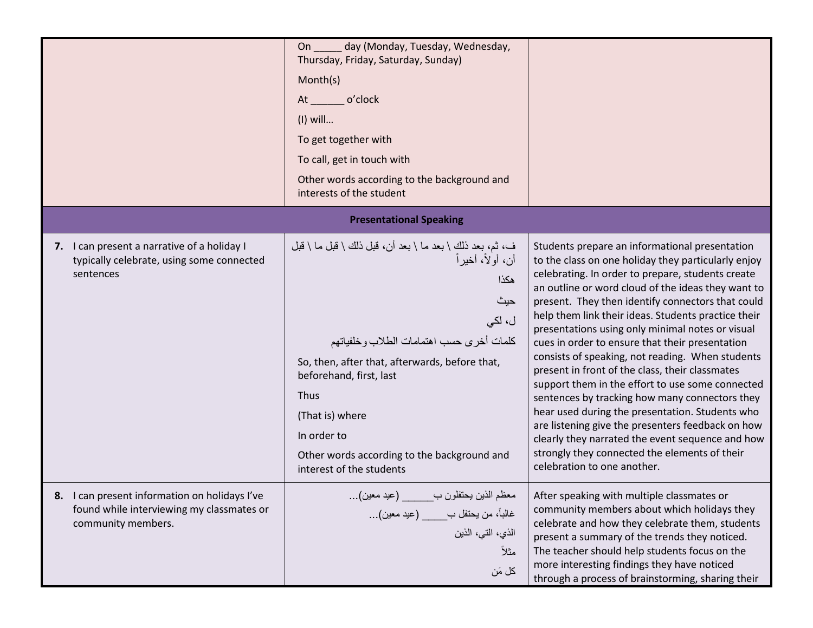|                                                                                                                  | day (Monday, Tuesday, Wednesday,<br>On<br>Thursday, Friday, Saturday, Sunday)<br>Month(s)<br>o'clock<br>At $\qquad$<br>$(I)$ will<br>To get together with<br>To call, get in touch with<br>Other words according to the background and<br>interests of the student                                                                                   |                                                                                                                                                                                                                                                                                                                                                                                                                                                                                                                                                                                                                                                                                                                                                                                                                                                                                              |
|------------------------------------------------------------------------------------------------------------------|------------------------------------------------------------------------------------------------------------------------------------------------------------------------------------------------------------------------------------------------------------------------------------------------------------------------------------------------------|----------------------------------------------------------------------------------------------------------------------------------------------------------------------------------------------------------------------------------------------------------------------------------------------------------------------------------------------------------------------------------------------------------------------------------------------------------------------------------------------------------------------------------------------------------------------------------------------------------------------------------------------------------------------------------------------------------------------------------------------------------------------------------------------------------------------------------------------------------------------------------------------|
|                                                                                                                  | <b>Presentational Speaking</b>                                                                                                                                                                                                                                                                                                                       |                                                                                                                                                                                                                                                                                                                                                                                                                                                                                                                                                                                                                                                                                                                                                                                                                                                                                              |
| 7. I can present a narrative of a holiday I<br>typically celebrate, using some connected<br>sentences            | ف، ثم، بعد ذلك \ بعد ما \ بعد أن، قبل ذلك \ قبل ما \ قبل<br>أن، أولاً، أخيراً<br>هكذا<br>حيث<br>ل، لکی<br>كلمات أخرى حسب اهتمامات الطلاب وخلفياتهم<br>So, then, after that, afterwards, before that,<br>beforehand, first, last<br>Thus<br>(That is) where<br>In order to<br>Other words according to the background and<br>interest of the students | Students prepare an informational presentation<br>to the class on one holiday they particularly enjoy<br>celebrating. In order to prepare, students create<br>an outline or word cloud of the ideas they want to<br>present. They then identify connectors that could<br>help them link their ideas. Students practice their<br>presentations using only minimal notes or visual<br>cues in order to ensure that their presentation<br>consists of speaking, not reading. When students<br>present in front of the class, their classmates<br>support them in the effort to use some connected<br>sentences by tracking how many connectors they<br>hear used during the presentation. Students who<br>are listening give the presenters feedback on how<br>clearly they narrated the event sequence and how<br>strongly they connected the elements of their<br>celebration to one another. |
| 8. I can present information on holidays I've<br>found while interviewing my classmates or<br>community members. | معظم الذين يحتفلون ب______ (عيد معين)<br>غالباً، من يحتفل ب____ (عيد معين)<br>الذي، التي، الذين<br>مثلاً<br>كل مَن                                                                                                                                                                                                                                   | After speaking with multiple classmates or<br>community members about which holidays they<br>celebrate and how they celebrate them, students<br>present a summary of the trends they noticed.<br>The teacher should help students focus on the<br>more interesting findings they have noticed<br>through a process of brainstorming, sharing their                                                                                                                                                                                                                                                                                                                                                                                                                                                                                                                                           |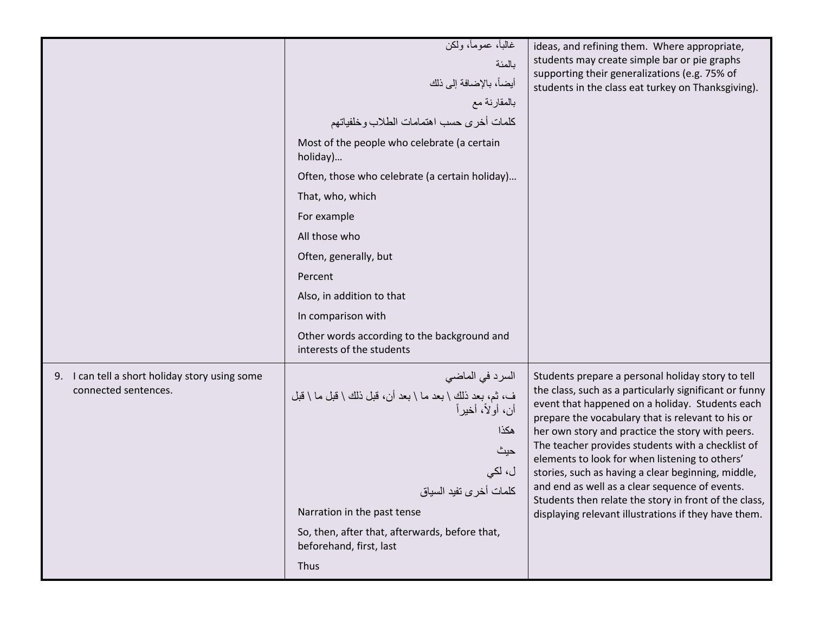|                                                                        | غالباً، عموماً، ولكن<br>بالمئة<br>أيضاً، بالإضافة إلى ذلك<br>بالمقارنة مع<br>كلمات أخرى حسب اهتمامات الطلاب وخلفياتهم<br>Most of the people who celebrate (a certain<br>holiday)<br>Often, those who celebrate (a certain holiday)<br>That, who, which<br>For example<br>All those who<br>Often, generally, but<br>Percent<br>Also, in addition to that<br>In comparison with<br>Other words according to the background and<br>interests of the students | ideas, and refining them. Where appropriate,<br>students may create simple bar or pie graphs<br>supporting their generalizations (e.g. 75% of<br>students in the class eat turkey on Thanksgiving).                                                                                                                                                                                                                                                                                                                                                                                                     |
|------------------------------------------------------------------------|-----------------------------------------------------------------------------------------------------------------------------------------------------------------------------------------------------------------------------------------------------------------------------------------------------------------------------------------------------------------------------------------------------------------------------------------------------------|---------------------------------------------------------------------------------------------------------------------------------------------------------------------------------------------------------------------------------------------------------------------------------------------------------------------------------------------------------------------------------------------------------------------------------------------------------------------------------------------------------------------------------------------------------------------------------------------------------|
| 9. I can tell a short holiday story using some<br>connected sentences. | السرد في الماضي<br>ف، ثم، بعد ذلك \ بعد ما \ بعد أن، قبل ذلك \ قبل ما \ قبل<br>أن، أولاً، أخير أ<br>هكذا<br>حيث<br>ل، لکي<br>كلمات أخرى تفيد السياق<br>Narration in the past tense<br>So, then, after that, afterwards, before that,<br>beforehand, first, last<br>Thus                                                                                                                                                                                   | Students prepare a personal holiday story to tell<br>the class, such as a particularly significant or funny<br>event that happened on a holiday. Students each<br>prepare the vocabulary that is relevant to his or<br>her own story and practice the story with peers.<br>The teacher provides students with a checklist of<br>elements to look for when listening to others'<br>stories, such as having a clear beginning, middle,<br>and end as well as a clear sequence of events.<br>Students then relate the story in front of the class,<br>displaying relevant illustrations if they have them. |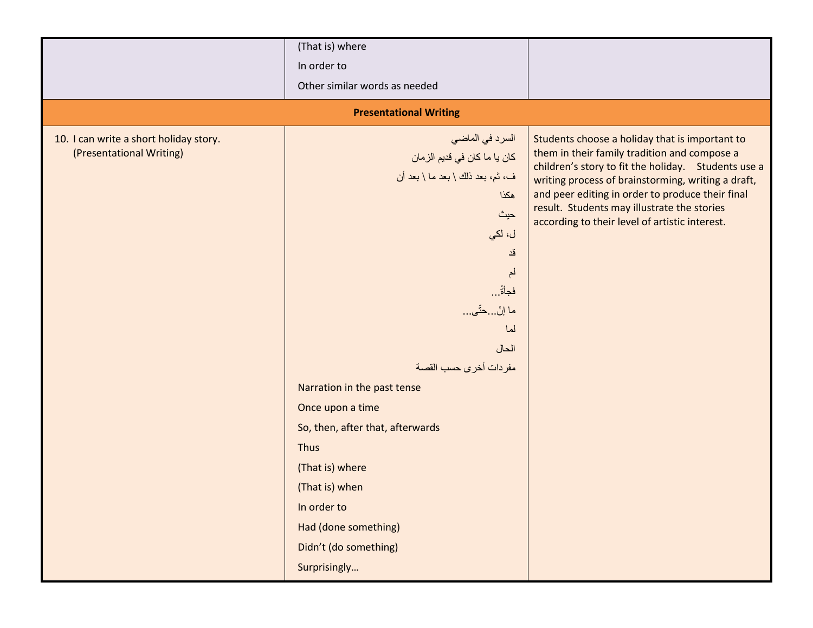|                                                                    | (That is) where                                                                                                                                                                                                                                                                                                                                                                                               |                                                                                                                                                                                                                                                                                                                                                                  |
|--------------------------------------------------------------------|---------------------------------------------------------------------------------------------------------------------------------------------------------------------------------------------------------------------------------------------------------------------------------------------------------------------------------------------------------------------------------------------------------------|------------------------------------------------------------------------------------------------------------------------------------------------------------------------------------------------------------------------------------------------------------------------------------------------------------------------------------------------------------------|
|                                                                    | In order to                                                                                                                                                                                                                                                                                                                                                                                                   |                                                                                                                                                                                                                                                                                                                                                                  |
|                                                                    | Other similar words as needed                                                                                                                                                                                                                                                                                                                                                                                 |                                                                                                                                                                                                                                                                                                                                                                  |
|                                                                    | <b>Presentational Writing</b>                                                                                                                                                                                                                                                                                                                                                                                 |                                                                                                                                                                                                                                                                                                                                                                  |
| 10. I can write a short holiday story.<br>(Presentational Writing) | السرد في الماضي<br>كان يا ما كان في قديم الز مان<br>ف، ثم، بعد ذلك \ بعد ما \ بعد أن<br>هكذا<br>حيث<br>ل، لکي<br>قد<br>لم<br>فجأةً<br>ما إنْحتّى<br>لما<br>الحال<br>مفردات أخرى حسب القصة<br>Narration in the past tense<br>Once upon a time<br>So, then, after that, afterwards<br>Thus<br>(That is) where<br>(That is) when<br>In order to<br>Had (done something)<br>Didn't (do something)<br>Surprisingly | Students choose a holiday that is important to<br>them in their family tradition and compose a<br>children's story to fit the holiday. Students use a<br>writing process of brainstorming, writing a draft,<br>and peer editing in order to produce their final<br>result. Students may illustrate the stories<br>according to their level of artistic interest. |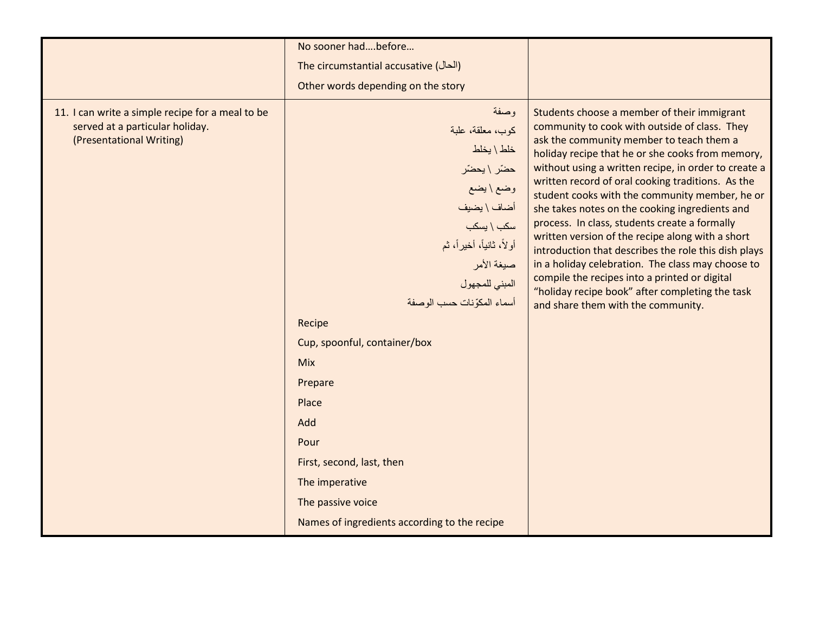|                                                                                                                 | No sooner hadbefore                                                                                                                                                                                                                                                                                                                                 |                                                                                                                                                                                                                                                                                                                                                                                                                                                                                                                                                                                                                                                                                                                                                                           |
|-----------------------------------------------------------------------------------------------------------------|-----------------------------------------------------------------------------------------------------------------------------------------------------------------------------------------------------------------------------------------------------------------------------------------------------------------------------------------------------|---------------------------------------------------------------------------------------------------------------------------------------------------------------------------------------------------------------------------------------------------------------------------------------------------------------------------------------------------------------------------------------------------------------------------------------------------------------------------------------------------------------------------------------------------------------------------------------------------------------------------------------------------------------------------------------------------------------------------------------------------------------------------|
|                                                                                                                 | The circumstantial accusative (الحال)                                                                                                                                                                                                                                                                                                               |                                                                                                                                                                                                                                                                                                                                                                                                                                                                                                                                                                                                                                                                                                                                                                           |
|                                                                                                                 | Other words depending on the story                                                                                                                                                                                                                                                                                                                  |                                                                                                                                                                                                                                                                                                                                                                                                                                                                                                                                                                                                                                                                                                                                                                           |
| 11. I can write a simple recipe for a meal to be<br>served at a particular holiday.<br>(Presentational Writing) | وصفة<br>كوب، معلقة، علبة<br>خلط \ يخلط<br>حضّر \ يحضّر<br>وضع \ يضع<br>أضاف \ يضيف<br>سكب \ يسكب<br>أولاً، ثانياً، أخيراً، ثم<br>صيغة الأمر<br>المبني للمجهول<br>أسماء المكوّنات حسب الوصفة<br>Recipe<br>Cup, spoonful, container/box<br>Mix<br>Prepare<br>Place<br>Add<br>Pour<br>First, second, last, then<br>The imperative<br>The passive voice | Students choose a member of their immigrant<br>community to cook with outside of class. They<br>ask the community member to teach them a<br>holiday recipe that he or she cooks from memory,<br>without using a written recipe, in order to create a<br>written record of oral cooking traditions. As the<br>student cooks with the community member, he or<br>she takes notes on the cooking ingredients and<br>process. In class, students create a formally<br>written version of the recipe along with a short<br>introduction that describes the role this dish plays<br>in a holiday celebration. The class may choose to<br>compile the recipes into a printed or digital<br>"holiday recipe book" after completing the task<br>and share them with the community. |
|                                                                                                                 | Names of ingredients according to the recipe                                                                                                                                                                                                                                                                                                        |                                                                                                                                                                                                                                                                                                                                                                                                                                                                                                                                                                                                                                                                                                                                                                           |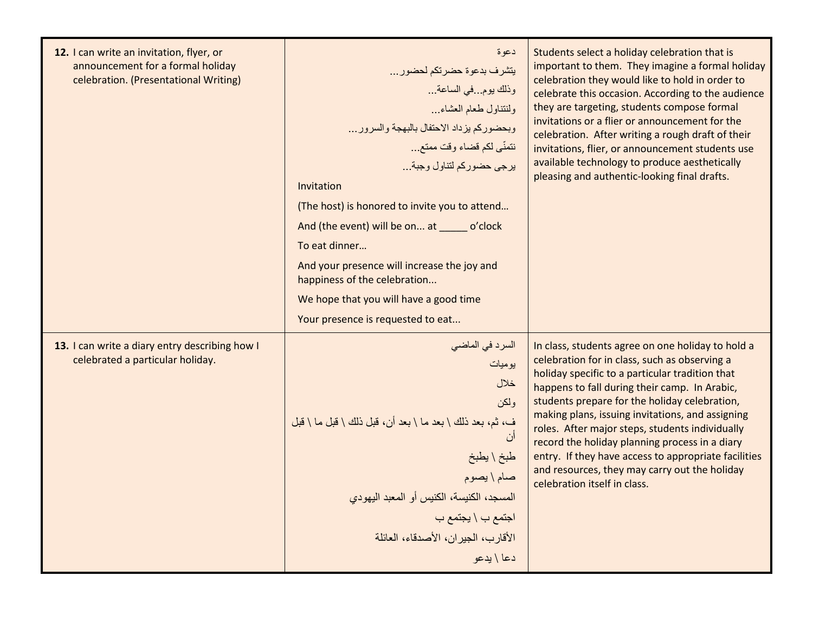| 12. I can write an invitation, flyer, or<br>announcement for a formal holiday<br>celebration. (Presentational Writing) | دعوة<br>يتشرف بدعوة حضرتكم لحضور<br>وذلك يومفي الساعة<br>ولنتناول طعام العشاء<br>وبحضوركم يزداد الاحتفال بالبهجة والسرور<br>نتمنّى لكم قضاء وقت ممتع<br>يرجى حضوركم لتناول وجبة<br>Invitation<br>(The host) is honored to invite you to attend<br>And (the event) will be on at ______ o'clock<br>To eat dinner<br>And your presence will increase the joy and<br>happiness of the celebration<br>We hope that you will have a good time<br>Your presence is requested to eat | Students select a holiday celebration that is<br>important to them. They imagine a formal holiday<br>celebration they would like to hold in order to<br>celebrate this occasion. According to the audience<br>they are targeting, students compose formal<br>invitations or a flier or announcement for the<br>celebration. After writing a rough draft of their<br>invitations, flier, or announcement students use<br>available technology to produce aesthetically<br>pleasing and authentic-looking final drafts.                                     |
|------------------------------------------------------------------------------------------------------------------------|-------------------------------------------------------------------------------------------------------------------------------------------------------------------------------------------------------------------------------------------------------------------------------------------------------------------------------------------------------------------------------------------------------------------------------------------------------------------------------|-----------------------------------------------------------------------------------------------------------------------------------------------------------------------------------------------------------------------------------------------------------------------------------------------------------------------------------------------------------------------------------------------------------------------------------------------------------------------------------------------------------------------------------------------------------|
| 13. I can write a diary entry describing how I<br>celebrated a particular holiday.                                     | السرد في الماض <i>ي</i><br>بوميات<br>خلال<br>و لکن<br>ف، ثم، بعد ذلك \ بعد ما \ بعد أن، قبل ذلك \ قبل ما \ قبل<br>أن<br>طبخ \ يطبخ<br>صام \ يصوم<br>المسجد، الكنيسة، الكنيس أو المعبد اليهودي<br>اجتمع ب \ يجتمع ب<br>الأقار ب، الجير ان، الأصدقاء، العائلة<br>دعا \ يدعو                                                                                                                                                                                                     | In class, students agree on one holiday to hold a<br>celebration for in class, such as observing a<br>holiday specific to a particular tradition that<br>happens to fall during their camp. In Arabic,<br>students prepare for the holiday celebration,<br>making plans, issuing invitations, and assigning<br>roles. After major steps, students individually<br>record the holiday planning process in a diary<br>entry. If they have access to appropriate facilities<br>and resources, they may carry out the holiday<br>celebration itself in class. |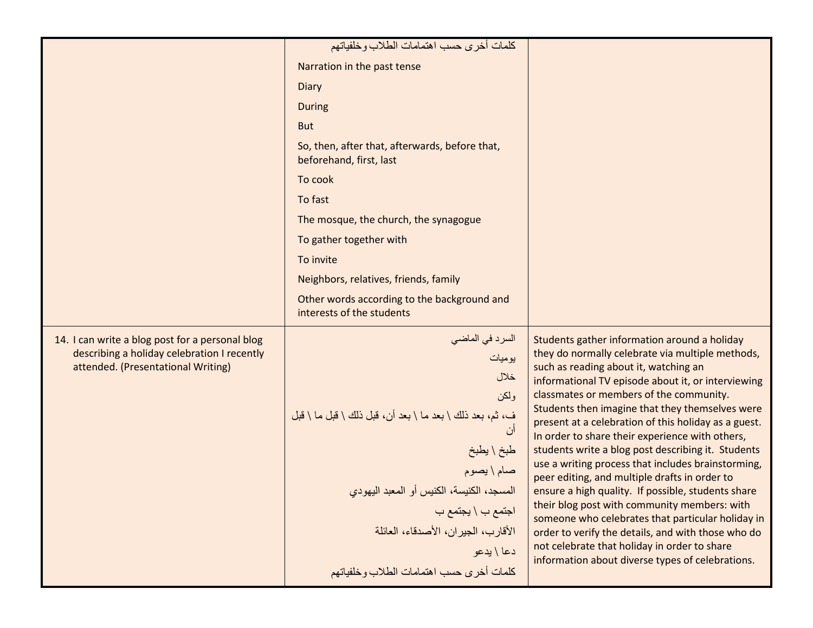|                                                                                                                                      | كلمات أخرى حسب اهتمامات الطلاب وخلفياتهم                                                                                                                                                                                                                                                              |                                                                                                                                                                                                                                                                                                                                                                                                                                                                                                                                                                                                                                                                                                                                                                                                                                                                                            |
|--------------------------------------------------------------------------------------------------------------------------------------|-------------------------------------------------------------------------------------------------------------------------------------------------------------------------------------------------------------------------------------------------------------------------------------------------------|--------------------------------------------------------------------------------------------------------------------------------------------------------------------------------------------------------------------------------------------------------------------------------------------------------------------------------------------------------------------------------------------------------------------------------------------------------------------------------------------------------------------------------------------------------------------------------------------------------------------------------------------------------------------------------------------------------------------------------------------------------------------------------------------------------------------------------------------------------------------------------------------|
|                                                                                                                                      | Narration in the past tense                                                                                                                                                                                                                                                                           |                                                                                                                                                                                                                                                                                                                                                                                                                                                                                                                                                                                                                                                                                                                                                                                                                                                                                            |
|                                                                                                                                      | Diary                                                                                                                                                                                                                                                                                                 |                                                                                                                                                                                                                                                                                                                                                                                                                                                                                                                                                                                                                                                                                                                                                                                                                                                                                            |
|                                                                                                                                      | <b>During</b>                                                                                                                                                                                                                                                                                         |                                                                                                                                                                                                                                                                                                                                                                                                                                                                                                                                                                                                                                                                                                                                                                                                                                                                                            |
|                                                                                                                                      | <b>But</b>                                                                                                                                                                                                                                                                                            |                                                                                                                                                                                                                                                                                                                                                                                                                                                                                                                                                                                                                                                                                                                                                                                                                                                                                            |
|                                                                                                                                      | So, then, after that, afterwards, before that,<br>beforehand, first, last                                                                                                                                                                                                                             |                                                                                                                                                                                                                                                                                                                                                                                                                                                                                                                                                                                                                                                                                                                                                                                                                                                                                            |
|                                                                                                                                      | To cook                                                                                                                                                                                                                                                                                               |                                                                                                                                                                                                                                                                                                                                                                                                                                                                                                                                                                                                                                                                                                                                                                                                                                                                                            |
|                                                                                                                                      | To fast                                                                                                                                                                                                                                                                                               |                                                                                                                                                                                                                                                                                                                                                                                                                                                                                                                                                                                                                                                                                                                                                                                                                                                                                            |
|                                                                                                                                      | The mosque, the church, the synagogue                                                                                                                                                                                                                                                                 |                                                                                                                                                                                                                                                                                                                                                                                                                                                                                                                                                                                                                                                                                                                                                                                                                                                                                            |
|                                                                                                                                      | To gather together with                                                                                                                                                                                                                                                                               |                                                                                                                                                                                                                                                                                                                                                                                                                                                                                                                                                                                                                                                                                                                                                                                                                                                                                            |
|                                                                                                                                      | To invite                                                                                                                                                                                                                                                                                             |                                                                                                                                                                                                                                                                                                                                                                                                                                                                                                                                                                                                                                                                                                                                                                                                                                                                                            |
|                                                                                                                                      | Neighbors, relatives, friends, family                                                                                                                                                                                                                                                                 |                                                                                                                                                                                                                                                                                                                                                                                                                                                                                                                                                                                                                                                                                                                                                                                                                                                                                            |
|                                                                                                                                      | Other words according to the background and<br>interests of the students                                                                                                                                                                                                                              |                                                                                                                                                                                                                                                                                                                                                                                                                                                                                                                                                                                                                                                                                                                                                                                                                                                                                            |
| 14. I can write a blog post for a personal blog<br>describing a holiday celebration I recently<br>attended. (Presentational Writing) | السرد في الماضي<br>يوميات<br>خلال<br>ولمكن<br>ف، ثم، بعد ذلك \ بعد ما \ بعد أن، قبل ذلك \ قبل ما \ قبل<br>طبخ \ يطبخ<br>صام \ يصوم<br>المسجد، الكنيسة، الكنيس أو المعبد اليهودي<br>اجتمع ب \ يجتمع ب<br>الأقارب، الجيران، الأصدقاء، العائلة<br>دعا \ يدعو<br>كلمات أخرى حسب اهتمامات الطلاب وخلفياتهم | Students gather information around a holiday<br>they do normally celebrate via multiple methods,<br>such as reading about it, watching an<br>informational TV episode about it, or interviewing<br>classmates or members of the community.<br>Students then imagine that they themselves were<br>present at a celebration of this holiday as a guest.<br>In order to share their experience with others,<br>students write a blog post describing it. Students<br>use a writing process that includes brainstorming,<br>peer editing, and multiple drafts in order to<br>ensure a high quality. If possible, students share<br>their blog post with community members: with<br>someone who celebrates that particular holiday in<br>order to verify the details, and with those who do<br>not celebrate that holiday in order to share<br>information about diverse types of celebrations. |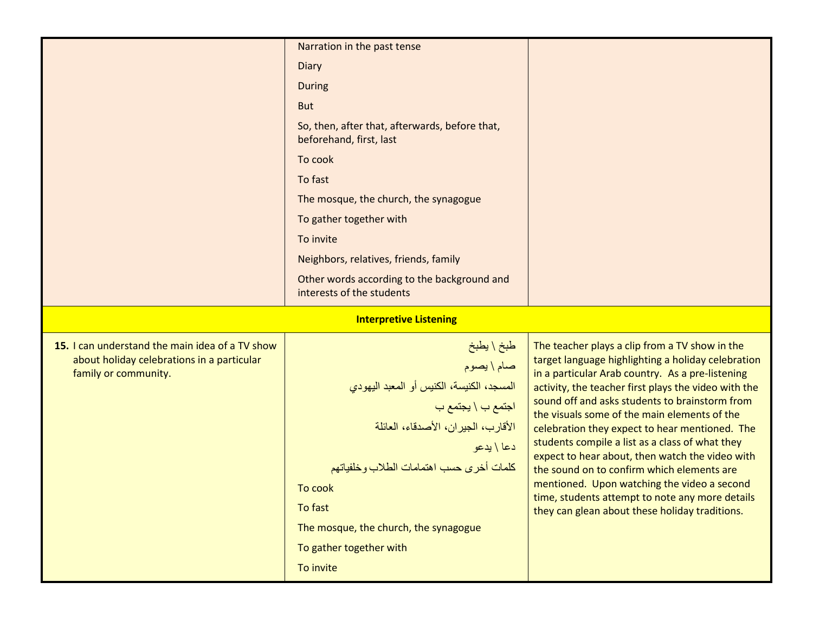|                                                 | Narration in the past tense                                               |                                                                                                          |
|-------------------------------------------------|---------------------------------------------------------------------------|----------------------------------------------------------------------------------------------------------|
|                                                 |                                                                           |                                                                                                          |
|                                                 | Diary                                                                     |                                                                                                          |
|                                                 | <b>During</b>                                                             |                                                                                                          |
|                                                 | <b>But</b>                                                                |                                                                                                          |
|                                                 | So, then, after that, afterwards, before that,<br>beforehand, first, last |                                                                                                          |
|                                                 | To cook                                                                   |                                                                                                          |
|                                                 | To fast                                                                   |                                                                                                          |
|                                                 | The mosque, the church, the synagogue                                     |                                                                                                          |
|                                                 | To gather together with                                                   |                                                                                                          |
|                                                 | To invite                                                                 |                                                                                                          |
|                                                 | Neighbors, relatives, friends, family                                     |                                                                                                          |
|                                                 | Other words according to the background and<br>interests of the students  |                                                                                                          |
|                                                 |                                                                           |                                                                                                          |
|                                                 | <b>Interpretive Listening</b>                                             |                                                                                                          |
| 15. I can understand the main idea of a TV show |                                                                           | The teacher plays a clip from a TV show in the                                                           |
| about holiday celebrations in a particular      |                                                                           | target language highlighting a holiday celebration                                                       |
| family or community.                            | طبخ \ يطبخ<br>صام \ يصوم<br>المسجد، الكنيسة، الكنيس أو المعبد اليهودي     | in a particular Arab country. As a pre-listening<br>activity, the teacher first plays the video with the |
|                                                 |                                                                           | sound off and asks students to brainstorm from                                                           |
|                                                 | اجتمع ب \ يجتمع ب                                                         | the visuals some of the main elements of the                                                             |
|                                                 | الأقارب، الجيران، الأصدقاء، العائلة<br>دعا \ يدعو                         | celebration they expect to hear mentioned. The<br>students compile a list as a class of what they        |
|                                                 | كلمات أخرى حسب اهتمامات الطلاب وخلفياتهم                                  | expect to hear about, then watch the video with<br>the sound on to confirm which elements are            |
|                                                 | To cook                                                                   | mentioned. Upon watching the video a second                                                              |
|                                                 | To fast                                                                   | time, students attempt to note any more details                                                          |
|                                                 | The mosque, the church, the synagogue                                     | they can glean about these holiday traditions.                                                           |
|                                                 |                                                                           |                                                                                                          |
|                                                 | To gather together with<br>To invite                                      |                                                                                                          |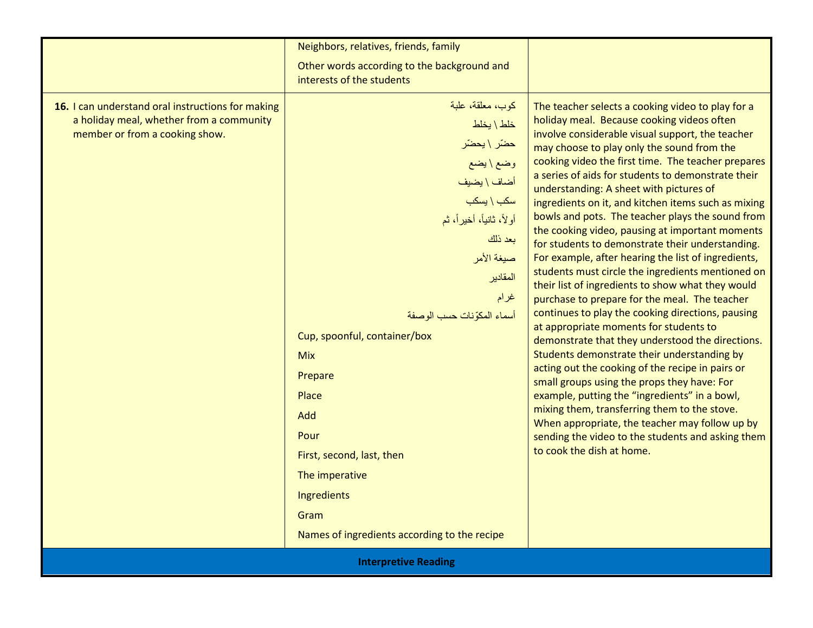|                                                                                                                                 | Neighbors, relatives, friends, family                                                                                                                                                                                                                                                                                                                                                                               |                                                                                                                                                                                                                                                                                                                                                                                                                                                                                                                                                                                                                                                                                                                                                                                                                                                                                                                                                                                                                                                                                                                                                                                                                                                                                                                                        |
|---------------------------------------------------------------------------------------------------------------------------------|---------------------------------------------------------------------------------------------------------------------------------------------------------------------------------------------------------------------------------------------------------------------------------------------------------------------------------------------------------------------------------------------------------------------|----------------------------------------------------------------------------------------------------------------------------------------------------------------------------------------------------------------------------------------------------------------------------------------------------------------------------------------------------------------------------------------------------------------------------------------------------------------------------------------------------------------------------------------------------------------------------------------------------------------------------------------------------------------------------------------------------------------------------------------------------------------------------------------------------------------------------------------------------------------------------------------------------------------------------------------------------------------------------------------------------------------------------------------------------------------------------------------------------------------------------------------------------------------------------------------------------------------------------------------------------------------------------------------------------------------------------------------|
|                                                                                                                                 | Other words according to the background and<br>interests of the students                                                                                                                                                                                                                                                                                                                                            |                                                                                                                                                                                                                                                                                                                                                                                                                                                                                                                                                                                                                                                                                                                                                                                                                                                                                                                                                                                                                                                                                                                                                                                                                                                                                                                                        |
| 16. I can understand oral instructions for making<br>a holiday meal, whether from a community<br>member or from a cooking show. | كوب، معلقة، علبة<br>خلط \ يخلط<br>حضّر \ يحضّر<br>وضع\يضع<br>أضاف \ يضيف<br>$\frac{1}{2}$ سكب \ يسكب<br>أولاً، ثانياً، أخيراً، ثم<br>بعد ذلك<br>صيغة الأمر<br>المقادير<br>غرام<br>أسماء المكوّنات حسب الوصفة<br>Cup, spoonful, container/box<br><b>Mix</b><br>Prepare<br>Place<br>Add<br>Pour<br>First, second, last, then<br>The imperative<br>Ingredients<br>Gram<br>Names of ingredients according to the recipe | The teacher selects a cooking video to play for a<br>holiday meal. Because cooking videos often<br>involve considerable visual support, the teacher<br>may choose to play only the sound from the<br>cooking video the first time. The teacher prepares<br>a series of aids for students to demonstrate their<br>understanding: A sheet with pictures of<br>ingredients on it, and kitchen items such as mixing<br>bowls and pots. The teacher plays the sound from<br>the cooking video, pausing at important moments<br>for students to demonstrate their understanding.<br>For example, after hearing the list of ingredients,<br>students must circle the ingredients mentioned on<br>their list of ingredients to show what they would<br>purchase to prepare for the meal. The teacher<br>continues to play the cooking directions, pausing<br>at appropriate moments for students to<br>demonstrate that they understood the directions.<br>Students demonstrate their understanding by<br>acting out the cooking of the recipe in pairs or<br>small groups using the props they have: For<br>example, putting the "ingredients" in a bowl,<br>mixing them, transferring them to the stove.<br>When appropriate, the teacher may follow up by<br>sending the video to the students and asking them<br>to cook the dish at home. |
| <b>Interpretive Reading</b>                                                                                                     |                                                                                                                                                                                                                                                                                                                                                                                                                     |                                                                                                                                                                                                                                                                                                                                                                                                                                                                                                                                                                                                                                                                                                                                                                                                                                                                                                                                                                                                                                                                                                                                                                                                                                                                                                                                        |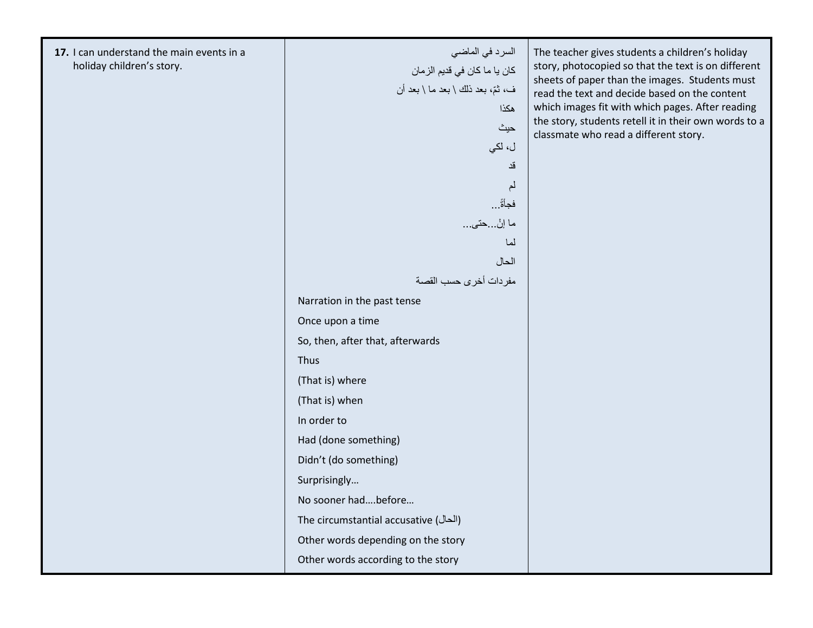17. I can understand the main events in a holiday children's story.

السرد في الماضيكان يا ما كان في قديم الزمانّ ف، ثم، بعد ذلك \ بعد ما \ بعد أن ھكذاحيث ل، لكيقدلمفجأةً . . . ما إنْ...<mark>حتى...</mark> لماالحالمفردات أخرى حسب القصةNarration in the past tense Once upon a time So, then, after that, afterwards (That is) where (That is) when In order to Had (done something) Didn't (do something) Surprisingly… No sooner had….before… The circumstantial accusative (الحال (Other words depending on the story

Other words according to the story

Thus

The teacher gives students a children's holiday story, photocopied so that the text is on different sheets of paper than the images. Students must read the text and decide based on the content which images fit with which pages. After reading the story, students retell it in their own words to a classmate who read a different story.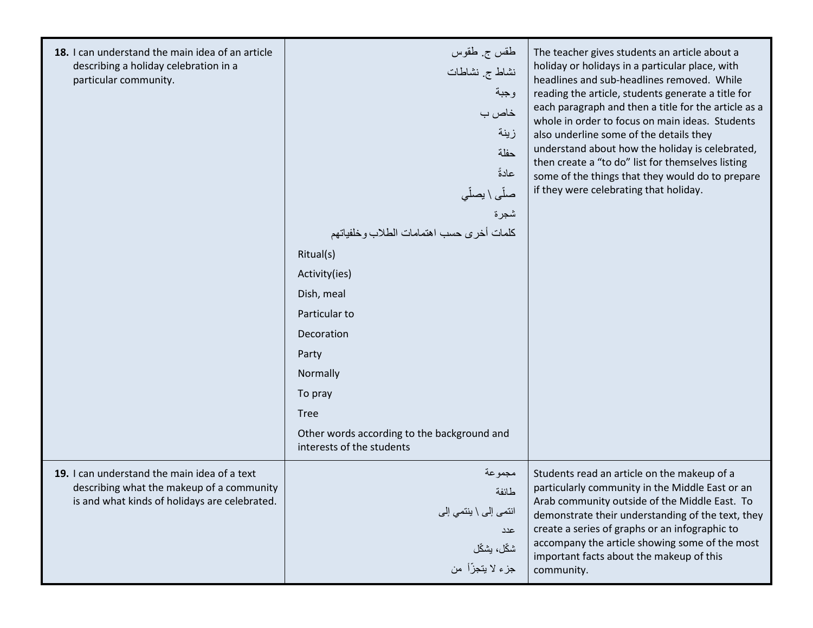| 18. I can understand the main idea of an article<br>describing a holiday celebration in a<br>particular community.                         | طقس ج طقوس<br>نشاط ج نشاطات<br>وجبة<br>خاص ب<br>زينة<br>حفلة<br>عادةً<br>صلَّى \ يصلِّي<br>شجرة<br>كلمات أخرى حسب اهتمامات الطلاب وخلفياتهم<br>Ritual(s)<br>Activity(ies)<br>Dish, meal<br>Particular to<br>Decoration<br>Party<br>Normally<br>To pray<br><b>Tree</b><br>Other words according to the background and<br>interests of the students | The teacher gives students an article about a<br>holiday or holidays in a particular place, with<br>headlines and sub-headlines removed. While<br>reading the article, students generate a title for<br>each paragraph and then a title for the article as a<br>whole in order to focus on main ideas. Students<br>also underline some of the details they<br>understand about how the holiday is celebrated,<br>then create a "to do" list for themselves listing<br>some of the things that they would do to prepare<br>if they were celebrating that holiday. |
|--------------------------------------------------------------------------------------------------------------------------------------------|---------------------------------------------------------------------------------------------------------------------------------------------------------------------------------------------------------------------------------------------------------------------------------------------------------------------------------------------------|------------------------------------------------------------------------------------------------------------------------------------------------------------------------------------------------------------------------------------------------------------------------------------------------------------------------------------------------------------------------------------------------------------------------------------------------------------------------------------------------------------------------------------------------------------------|
| 19. I can understand the main idea of a text<br>describing what the makeup of a community<br>is and what kinds of holidays are celebrated. | مجموعة<br>طائفة<br>انتمی إلی \ ينتمی إلی<br>عدد<br>شكّل، يشكّل<br>جزء لا يتجزّأ من                                                                                                                                                                                                                                                                | Students read an article on the makeup of a<br>particularly community in the Middle East or an<br>Arab community outside of the Middle East. To<br>demonstrate their understanding of the text, they<br>create a series of graphs or an infographic to<br>accompany the article showing some of the most<br>important facts about the makeup of this<br>community.                                                                                                                                                                                               |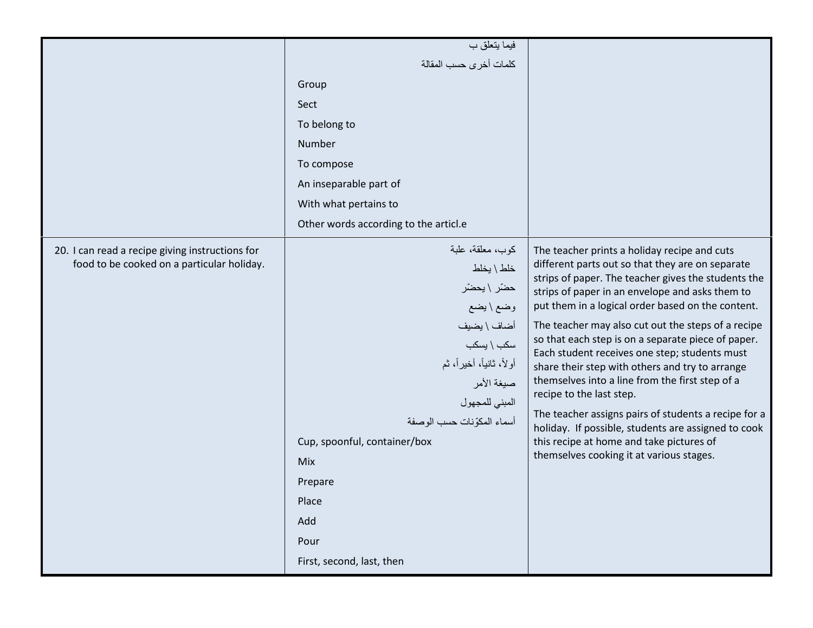|                                                                                               | فيما يتعلق ب                                                                                                                                                                                                                                                                               |                                                                                                                                                                                                                                                                                                                                                                                                                                                                                                                                                                                                                                                                                                                                                                       |
|-----------------------------------------------------------------------------------------------|--------------------------------------------------------------------------------------------------------------------------------------------------------------------------------------------------------------------------------------------------------------------------------------------|-----------------------------------------------------------------------------------------------------------------------------------------------------------------------------------------------------------------------------------------------------------------------------------------------------------------------------------------------------------------------------------------------------------------------------------------------------------------------------------------------------------------------------------------------------------------------------------------------------------------------------------------------------------------------------------------------------------------------------------------------------------------------|
|                                                                                               | كلمات أخرى حسب المقالة                                                                                                                                                                                                                                                                     |                                                                                                                                                                                                                                                                                                                                                                                                                                                                                                                                                                                                                                                                                                                                                                       |
|                                                                                               | Group                                                                                                                                                                                                                                                                                      |                                                                                                                                                                                                                                                                                                                                                                                                                                                                                                                                                                                                                                                                                                                                                                       |
|                                                                                               | Sect                                                                                                                                                                                                                                                                                       |                                                                                                                                                                                                                                                                                                                                                                                                                                                                                                                                                                                                                                                                                                                                                                       |
|                                                                                               | To belong to                                                                                                                                                                                                                                                                               |                                                                                                                                                                                                                                                                                                                                                                                                                                                                                                                                                                                                                                                                                                                                                                       |
|                                                                                               | Number                                                                                                                                                                                                                                                                                     |                                                                                                                                                                                                                                                                                                                                                                                                                                                                                                                                                                                                                                                                                                                                                                       |
|                                                                                               | To compose                                                                                                                                                                                                                                                                                 |                                                                                                                                                                                                                                                                                                                                                                                                                                                                                                                                                                                                                                                                                                                                                                       |
|                                                                                               | An inseparable part of                                                                                                                                                                                                                                                                     |                                                                                                                                                                                                                                                                                                                                                                                                                                                                                                                                                                                                                                                                                                                                                                       |
|                                                                                               | With what pertains to                                                                                                                                                                                                                                                                      |                                                                                                                                                                                                                                                                                                                                                                                                                                                                                                                                                                                                                                                                                                                                                                       |
|                                                                                               | Other words according to the articl.e                                                                                                                                                                                                                                                      |                                                                                                                                                                                                                                                                                                                                                                                                                                                                                                                                                                                                                                                                                                                                                                       |
| 20. I can read a recipe giving instructions for<br>food to be cooked on a particular holiday. | كوب، معلقة، علبة<br>خلط \ يخلط<br>حضّر \ يحضّر<br>وضع \ يضع<br>أضاف \ يضيف<br>سکب \ یسکب<br>أولاً، ثانياً، أخيراً، ثم<br>صيغة الأمر<br>المبني للمجهول<br>أسماء المكوّنات حسب الوصفة<br>Cup, spoonful, container/box<br>Mix<br>Prepare<br>Place<br>Add<br>Pour<br>First, second, last, then | The teacher prints a holiday recipe and cuts<br>different parts out so that they are on separate<br>strips of paper. The teacher gives the students the<br>strips of paper in an envelope and asks them to<br>put them in a logical order based on the content.<br>The teacher may also cut out the steps of a recipe<br>so that each step is on a separate piece of paper.<br>Each student receives one step; students must<br>share their step with others and try to arrange<br>themselves into a line from the first step of a<br>recipe to the last step.<br>The teacher assigns pairs of students a recipe for a<br>holiday. If possible, students are assigned to cook<br>this recipe at home and take pictures of<br>themselves cooking it at various stages. |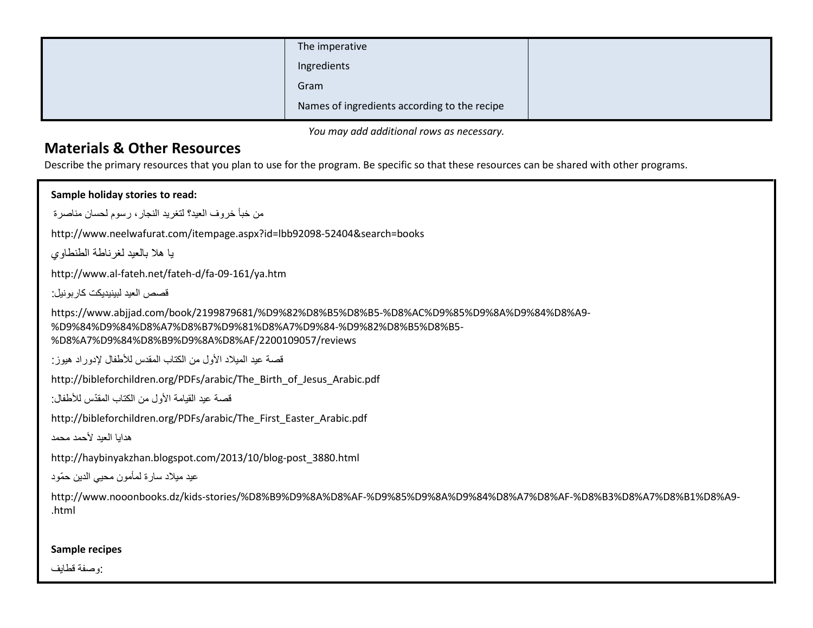| The imperative                               |  |
|----------------------------------------------|--|
| Ingredients                                  |  |
| Gram                                         |  |
| Names of ingredients according to the recipe |  |

You may add additional rows as necessary.

## Materials & Other Resources

Describe the primary resources that you plan to use for the program. Be specific so that these resources can be shared with other programs.

Sample holiday stories to read: من خبأ خروف العيد؟ لتغريد النجار، رسوم لحسان مناصرةhttp://www.neelwafurat.com/itempage.aspx?id=lbb92098-52404&search=booksيا هلا بالعيد لغرناطة الطنطاوي http://www.al-fateh.net/fateh-d/fa-09-161/ya.htmقصص العيد لبينيديكت كاربونيل : https://www.abjjad.com/book/2199879681/%D9%82%D8%B5%D8%B5-%D8%AC%D9%85%D9%8A%D9%84%D8%A9-%D9%84%D9%84%D8%A7%D8%B7%D9%81%D8%A7%D9%84-%D9%82%D8%B5%D8%B5-%D8%A7%D9%84%D8%B9%D9%8A%D8%AF/2200109057/reviewsقصة عيد الميلاد الأول من الكتاب المقدس للأطفال لإدوراد هيوز: http://bibleforchildren.org/PDFs/arabic/The\_Birth\_of\_Jesus\_Arabic.pdf قصـة عيد القيامة الأول من الكتاب المقدّس للأطفال: http://bibleforchildren.org/PDFs/arabic/The\_First\_Easter\_Arabic.pdfھدايا العيد حمد محمدhttp://haybinyakzhan.blogspot.com/2013/10/blog-post\_3880.htmlعيد ميلاد سار ة لمأمون محيي الدين حمّود http://www.nooonbooks.dz/kids-stories/%D8%B9%D9%8A%D8%AF-%D9%85%D9%8A%D9%84%D8%A7%D8%AF-%D8%B3%D8%A7%D8%B1%D8%A9-.htmlSample recipes:وصفة قطايف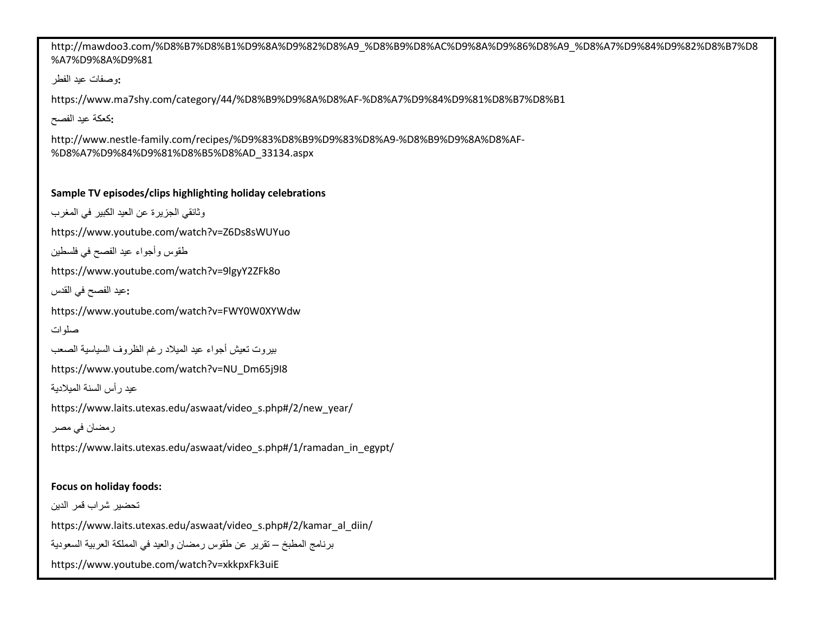http://mawdoo3.com/%D8%B7%D8%B1%D9%8A%D9%82%D8%A9\_%D8%B9%D8%AC%D9%8A%D9%86%D8%A9\_%D8%A7%D9%84%D9%82%D8%B7%D8%A7%D9%8A%D9%81

:وصفات عيد الفطر

https://www.ma7shy.com/category/44/%D8%B9%D9%8A%D8%AF-%D8%A7%D9%84%D9%81%D8%B7%D8%B1

:كعكة عيد الفصح

http://www.nestle-family.com/recipes/%D9%83%D8%B9%D9%83%D8%A9-%D8%B9%D9%8A%D8%AF-%D8%A7%D9%84%D9%81%D8%B5%D8%AD\_33134.aspx

### Sample TV episodes/clips highlighting holiday celebrations

```
وثائقي الجزيرة عن العيد الكبير في المغربhttps://www.youtube.com/watch?v=Z6Ds8sWUYuo طقوس وأجواء عيد الفصح في فلسطين
```
https://www.youtube.com/watch?v=9lgyY2ZFk8o

```
 :عيد الفصح في القدس
```
https://www.youtube.com/watch?v=FWY0W0XYWdw

```
صلوات
```

```
بيروت تعيش أجواء عيد الميلاد رغم الظروف السياسية الصعب
```
https://www.youtube.com/watch?v=NU\_Dm65j9I8

```
عيد رأس السنة الميدية
```
https://www.laits.utexas.edu/aswaat/video\_s.php#/2/new\_year/

رمضان في مصر

https://www.laits.utexas.edu/aswaat/video\_s.php#/1/ramadan\_in\_egypt/

### Focus on holiday foods:

تحضير شراب قمر الدينhttps://www.laits.utexas.edu/aswaat/video\_s.php#/2/kamar\_al\_diin/برنامج المطبخ – تقرير عن طقوس رمضان والعيد في المملكة العربية السعودية https://www.youtube.com/watch?v=xkkpxFk3uiE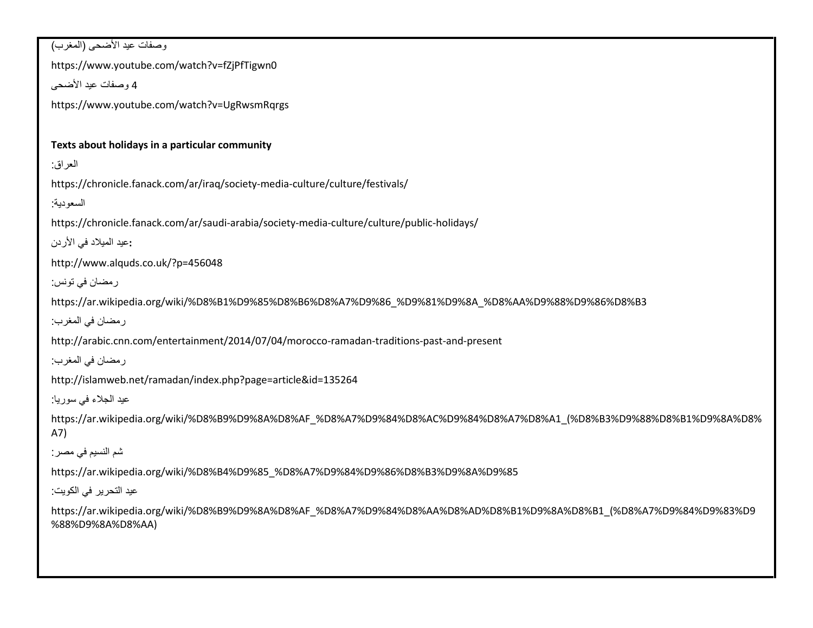وصفات عيد اضحى (المغرب)https://www.youtube.com/watch?v=fZjPfTigwn04 وصفات عيد اضحىhttps://www.youtube.com/watch?v=UgRwsmRqrgsTexts about holidays in a particular community العراق:https://chronicle.fanack.com/ar/iraq/society-media-culture/culture/festivals/السعودية:https://chronicle.fanack.com/ar/saudi-arabia/society-media-culture/culture/public-holidays/ :عيد الميلاد في الأردن http://www.alquds.co.uk/?p=456048 رمضان في تونس:https://ar.wikipedia.org/wiki/%D8%B1%D9%85%D8%B6%D8%A7%D9%86\_%D9%81%D9%8A\_%D8%AA%D9%88%D9%86%D8%B3 رمضان في المغرب:http://arabic.cnn.com/entertainment/2014/07/04/morocco-ramadan-traditions-past-and-present رمضان في المغرب:http://islamweb.net/ramadan/index.php?page=article&id=135264عيد الجلاء في سوريا: https://ar.wikipedia.org/wiki/%D8%B9%D9%8A%D8%AF\_%D8%A7%D9%84%D8%AC%D9%84%D8%A7%D8%A1\_(%D8%B3%D9%88%D8%B1%D9%8A%D8%A7)شم النسيم في مصر:https://ar.wikipedia.org/wiki/%D8%B4%D9%85\_%D8%A7%D9%84%D9%86%D8%B3%D9%8A%D9%85عيد التحرير في الكويت:https://ar.wikipedia.org/wiki/%D8%B9%D9%8A%D8%AF\_%D8%A7%D9%84%D8%AA%D8%AD%D8%B1%D9%8A%D8%B1\_(%D8%A7%D9%84%D9%83%D9%88%D9%8A%D8%AA)